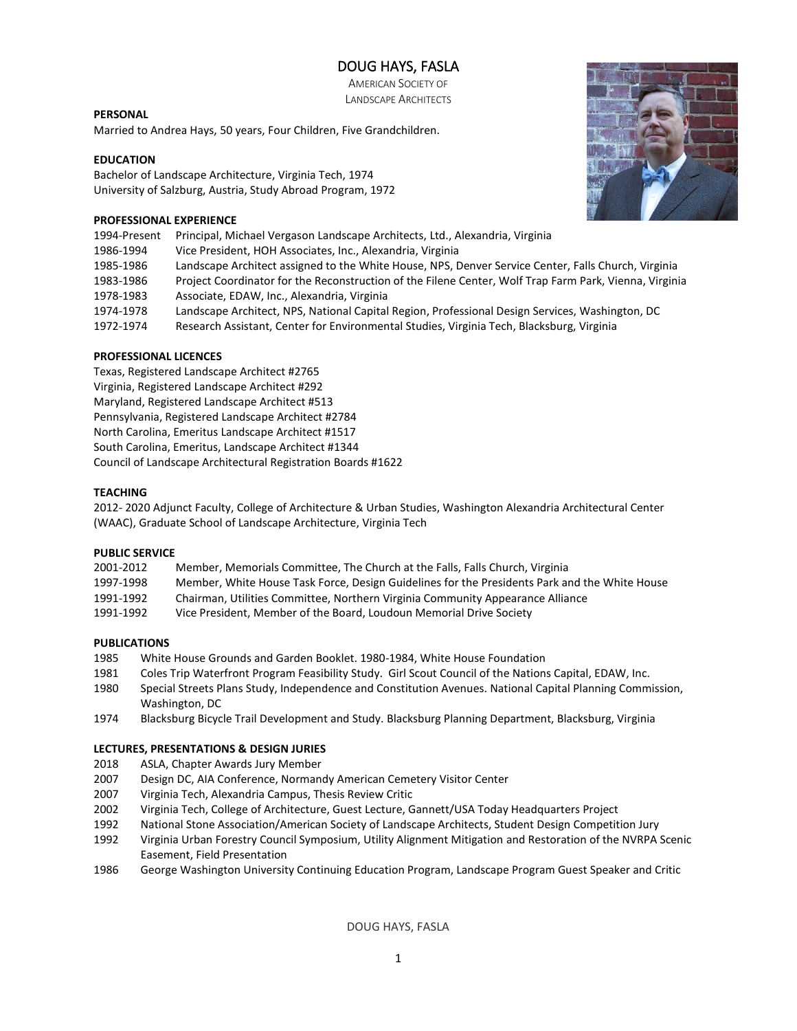# DOUG HAYS, FASLA

AMERICAN SOCIETY OF LANDSCAPE ARCHITECTS

# **PERSONAL**

Married to Andrea Hays, 50 years, Four Children, Five Grandchildren.

# **EDUCATION**

Bachelor of Landscape Architecture, Virginia Tech, 1974 University of Salzburg, Austria, Study Abroad Program, 1972

# **PROFESSIONAL EXPERIENCE**

|  | 1994-Present Principal, Michael Vergason Landscape Architects, Ltd., Alexandria, Virginia |
|--|-------------------------------------------------------------------------------------------|
|--|-------------------------------------------------------------------------------------------|

- 1986-1994 Vice President, HOH Associates, Inc., Alexandria, Virginia
- 1985-1986 Landscape Architect assigned to the White House, NPS, Denver Service Center, Falls Church, Virginia
- 1983-1986 Project Coordinator for the Reconstruction of the Filene Center, Wolf Trap Farm Park, Vienna, Virginia
- 1978-1983 Associate, EDAW, Inc., Alexandria, Virginia
- 1974-1978 Landscape Architect, NPS, National Capital Region, Professional Design Services, Washington, DC
- 1972-1974 Research Assistant, Center for Environmental Studies, Virginia Tech, Blacksburg, Virginia

# **PROFESSIONAL LICENCES**

Texas, Registered Landscape Architect #2765 Virginia, Registered Landscape Architect #292 Maryland, Registered Landscape Architect #513 Pennsylvania, Registered Landscape Architect #2784 North Carolina, Emeritus Landscape Architect #1517 South Carolina, Emeritus, Landscape Architect #1344 Council of Landscape Architectural Registration Boards #1622

# **TEACHING**

2012- 2020 Adjunct Faculty, College of Architecture & Urban Studies, Washington Alexandria Architectural Center (WAAC), Graduate School of Landscape Architecture, Virginia Tech

# **PUBLIC SERVICE**

| 2001-2012 | Member, Memorials Committee, The Church at the Falls, Falls Church, Virginia                  |
|-----------|-----------------------------------------------------------------------------------------------|
| 1997-1998 | Member, White House Task Force, Design Guidelines for the Presidents Park and the White House |
| 1991-1992 | Chairman, Utilities Committee, Northern Virginia Community Appearance Alliance                |
| 1991-1992 | Vice President. Member of the Board. Loudoun Memorial Drive Society                           |

# **PUBLICATIONS**

- 1985 White House Grounds and Garden Booklet. 1980-1984, White House Foundation
- 1981 Coles Trip Waterfront Program Feasibility Study. Girl Scout Council of the Nations Capital, EDAW, Inc.
- 1980 Special Streets Plans Study, Independence and Constitution Avenues. National Capital Planning Commission, Washington, DC
- 1974 Blacksburg Bicycle Trail Development and Study. Blacksburg Planning Department, Blacksburg, Virginia

# **LECTURES, PRESENTATIONS & DESIGN JURIES**

- 2018 ASLA, Chapter Awards Jury Member
- 2007 Design DC, AIA Conference, Normandy American Cemetery Visitor Center
- 2007 Virginia Tech, Alexandria Campus, Thesis Review Critic
- 2002 Virginia Tech, College of Architecture, Guest Lecture, Gannett/USA Today Headquarters Project
- 1992 National Stone Association/American Society of Landscape Architects, Student Design Competition Jury
- 1992 Virginia Urban Forestry Council Symposium, Utility Alignment Mitigation and Restoration of the NVRPA Scenic Easement, Field Presentation
- 1986 George Washington University Continuing Education Program, Landscape Program Guest Speaker and Critic

DOUG HAYS, FASLA

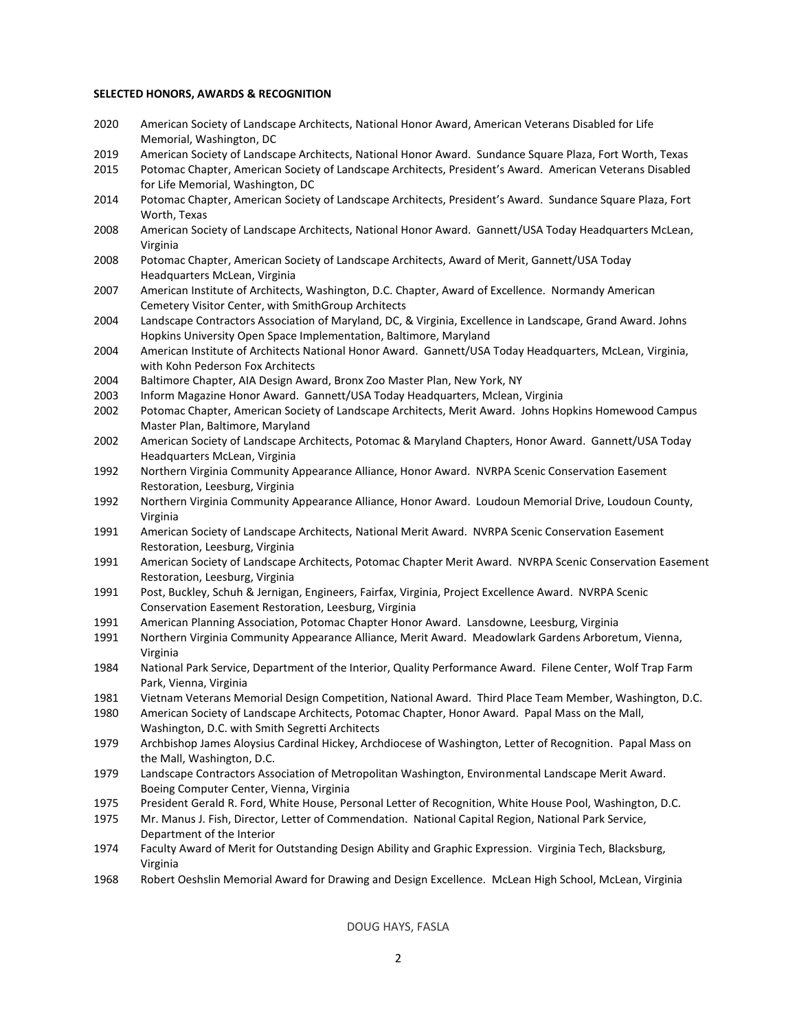#### **SELECTED HONORS, AWARDS & RECOGNITION**

- 2020 American Society of Landscape Architects, National Honor Award, American Veterans Disabled for Life Memorial, Washington, DC
- 2019 American Society of Landscape Architects, National Honor Award. Sundance Square Plaza, Fort Worth, Texas
- 2015 Potomac Chapter, American Society of Landscape Architects, President's Award. American Veterans Disabled for Life Memorial, Washington, DC
- 2014 Potomac Chapter, American Society of Landscape Architects, President's Award. Sundance Square Plaza, Fort Worth, Texas
- 2008 American Society of Landscape Architects, National Honor Award. Gannett/USA Today Headquarters McLean, Virginia
- 2008 Potomac Chapter, American Society of Landscape Architects, Award of Merit, Gannett/USA Today Headquarters McLean, Virginia
- 2007 American Institute of Architects, Washington, D.C. Chapter, Award of Excellence. Normandy American Cemetery Visitor Center, with SmithGroup Architects
- 2004 Landscape Contractors Association of Maryland, DC, & Virginia, Excellence in Landscape, Grand Award. Johns Hopkins University Open Space Implementation, Baltimore, Maryland
- 2004 American Institute of Architects National Honor Award. Gannett/USA Today Headquarters, McLean, Virginia, with Kohn Pederson Fox Architects
- 2004 Baltimore Chapter, AIA Design Award, Bronx Zoo Master Plan, New York, NY
- 2003 Inform Magazine Honor Award. Gannett/USA Today Headquarters, Mclean, Virginia
- 2002 Potomac Chapter, American Society of Landscape Architects, Merit Award. Johns Hopkins Homewood Campus Master Plan, Baltimore, Maryland
- 2002 American Society of Landscape Architects, Potomac & Maryland Chapters, Honor Award. Gannett/USA Today Headquarters McLean, Virginia
- 1992 Northern Virginia Community Appearance Alliance, Honor Award. NVRPA Scenic Conservation Easement Restoration, Leesburg, Virginia
- 1992 Northern Virginia Community Appearance Alliance, Honor Award. Loudoun Memorial Drive, Loudoun County, Virginia
- 1991 American Society of Landscape Architects, National Merit Award. NVRPA Scenic Conservation Easement Restoration, Leesburg, Virginia
- 1991 American Society of Landscape Architects, Potomac Chapter Merit Award. NVRPA Scenic Conservation Easement Restoration, Leesburg, Virginia
- 1991 Post, Buckley, Schuh & Jernigan, Engineers, Fairfax, Virginia, Project Excellence Award. NVRPA Scenic Conservation Easement Restoration, Leesburg, Virginia
- 1991 American Planning Association, Potomac Chapter Honor Award. Lansdowne, Leesburg, Virginia
- 1991 Northern Virginia Community Appearance Alliance, Merit Award. Meadowlark Gardens Arboretum, Vienna, Virginia
- 1984 National Park Service, Department of the Interior, Quality Performance Award. Filene Center, Wolf Trap Farm Park, Vienna, Virginia
- 1981 Vietnam Veterans Memorial Design Competition, National Award. Third Place Team Member, Washington, D.C.
- 1980 American Society of Landscape Architects, Potomac Chapter, Honor Award. Papal Mass on the Mall, Washington, D.C. with Smith Segretti Architects
- 1979 Archbishop James Aloysius Cardinal Hickey, Archdiocese of Washington, Letter of Recognition. Papal Mass on the Mall, Washington, D.C.
- 1979 Landscape Contractors Association of Metropolitan Washington, Environmental Landscape Merit Award. Boeing Computer Center, Vienna, Virginia
- 1975 President Gerald R. Ford, White House, Personal Letter of Recognition, White House Pool, Washington, D.C.
- 1975 Mr. Manus J. Fish, Director, Letter of Commendation. National Capital Region, National Park Service, Department of the Interior
- 1974 Faculty Award of Merit for Outstanding Design Ability and Graphic Expression. Virginia Tech, Blacksburg, Virginia
- 1968 Robert Oeshslin Memorial Award for Drawing and Design Excellence. McLean High School, McLean, Virginia

DOUG HAYS, FASLA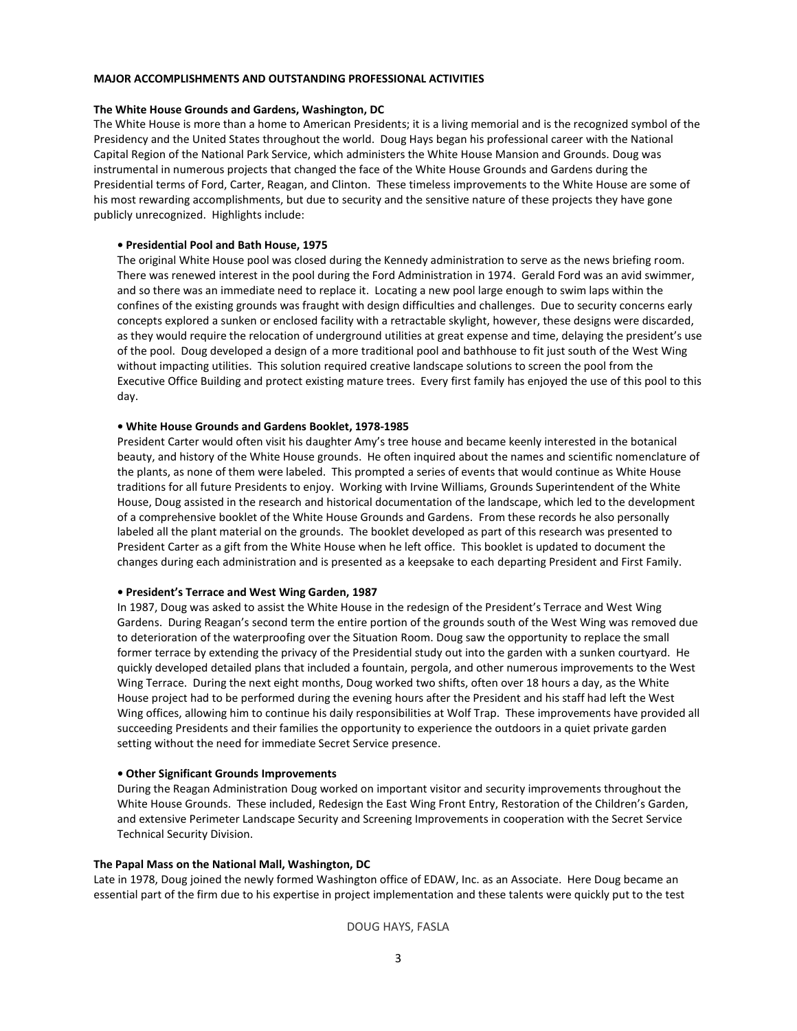#### **MAJOR ACCOMPLISHMENTS AND OUTSTANDING PROFESSIONAL ACTIVITIES**

#### **The White House Grounds and Gardens, Washington, DC**

The White House is more than a home to American Presidents; it is a living memorial and is the recognized symbol of the Presidency and the United States throughout the world. Doug Hays began his professional career with the National Capital Region of the National Park Service, which administers the White House Mansion and Grounds. Doug was instrumental in numerous projects that changed the face of the White House Grounds and Gardens during the Presidential terms of Ford, Carter, Reagan, and Clinton. These timeless improvements to the White House are some of his most rewarding accomplishments, but due to security and the sensitive nature of these projects they have gone publicly unrecognized. Highlights include:

#### **• Presidential Pool and Bath House, 1975**

The original White House pool was closed during the Kennedy administration to serve as the news briefing room. There was renewed interest in the pool during the Ford Administration in 1974. Gerald Ford was an avid swimmer, and so there was an immediate need to replace it. Locating a new pool large enough to swim laps within the confines of the existing grounds was fraught with design difficulties and challenges. Due to security concerns early concepts explored a sunken or enclosed facility with a retractable skylight, however, these designs were discarded, as they would require the relocation of underground utilities at great expense and time, delaying the president's use of the pool. Doug developed a design of a more traditional pool and bathhouse to fit just south of the West Wing without impacting utilities. This solution required creative landscape solutions to screen the pool from the Executive Office Building and protect existing mature trees. Every first family has enjoyed the use of this pool to this day.

#### **• White House Grounds and Gardens Booklet, 1978-1985**

President Carter would often visit his daughter Amy's tree house and became keenly interested in the botanical beauty, and history of the White House grounds. He often inquired about the names and scientific nomenclature of the plants, as none of them were labeled. This prompted a series of events that would continue as White House traditions for all future Presidents to enjoy. Working with Irvine Williams, Grounds Superintendent of the White House, Doug assisted in the research and historical documentation of the landscape, which led to the development of a comprehensive booklet of the White House Grounds and Gardens. From these records he also personally labeled all the plant material on the grounds. The booklet developed as part of this research was presented to President Carter as a gift from the White House when he left office. This booklet is updated to document the changes during each administration and is presented as a keepsake to each departing President and First Family.

#### **• President's Terrace and West Wing Garden, 1987**

In 1987, Doug was asked to assist the White House in the redesign of the President's Terrace and West Wing Gardens. During Reagan's second term the entire portion of the grounds south of the West Wing was removed due to deterioration of the waterproofing over the Situation Room. Doug saw the opportunity to replace the small former terrace by extending the privacy of the Presidential study out into the garden with a sunken courtyard. He quickly developed detailed plans that included a fountain, pergola, and other numerous improvements to the West Wing Terrace. During the next eight months, Doug worked two shifts, often over 18 hours a day, as the White House project had to be performed during the evening hours after the President and his staff had left the West Wing offices, allowing him to continue his daily responsibilities at Wolf Trap. These improvements have provided all succeeding Presidents and their families the opportunity to experience the outdoors in a quiet private garden setting without the need for immediate Secret Service presence.

#### **• Other Significant Grounds Improvements**

During the Reagan Administration Doug worked on important visitor and security improvements throughout the White House Grounds. These included, Redesign the East Wing Front Entry, Restoration of the Children's Garden, and extensive Perimeter Landscape Security and Screening Improvements in cooperation with the Secret Service Technical Security Division.

#### **The Papal Mass on the National Mall, Washington, DC**

Late in 1978, Doug joined the newly formed Washington office of EDAW, Inc. as an Associate. Here Doug became an essential part of the firm due to his expertise in project implementation and these talents were quickly put to the test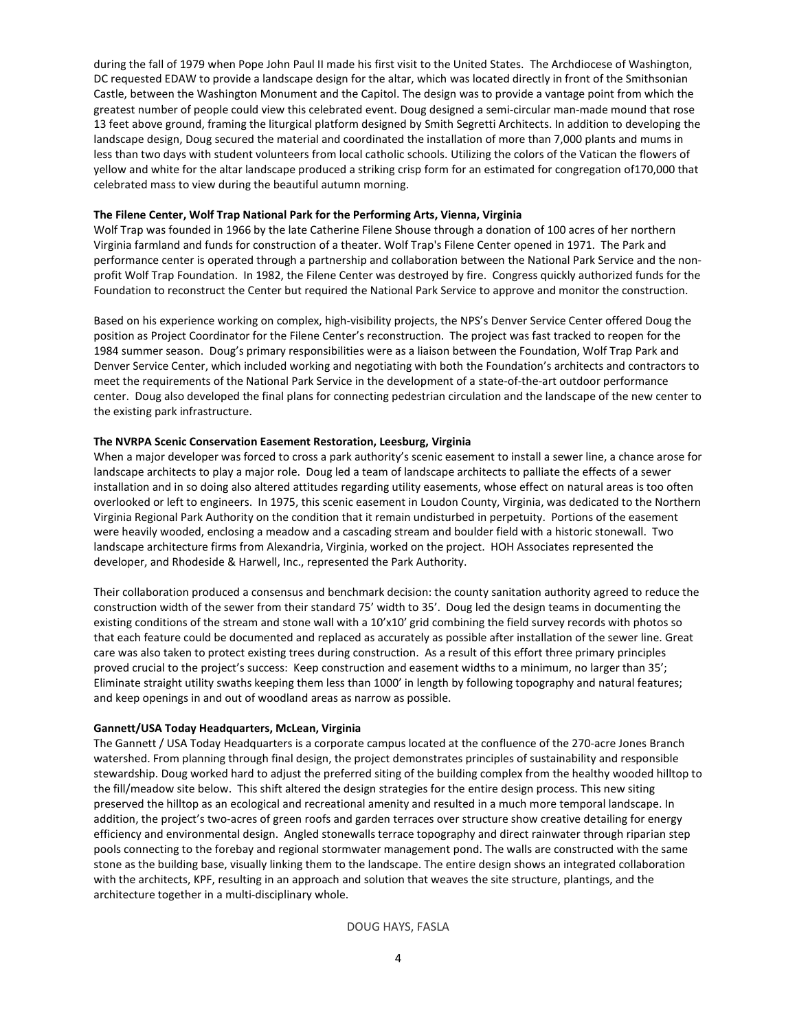during the fall of 1979 when Pope John Paul II made his first visit to the United States. The Archdiocese of Washington, DC requested EDAW to provide a landscape design for the altar, which was located directly in front of the Smithsonian Castle, between the Washington Monument and the Capitol. The design was to provide a vantage point from which the greatest number of people could view this celebrated event. Doug designed a semi-circular man-made mound that rose 13 feet above ground, framing the liturgical platform designed by Smith Segretti Architects. In addition to developing the landscape design, Doug secured the material and coordinated the installation of more than 7,000 plants and mums in less than two days with student volunteers from local catholic schools. Utilizing the colors of the Vatican the flowers of yellow and white for the altar landscape produced a striking crisp form for an estimated for congregation of170,000 that celebrated mass to view during the beautiful autumn morning.

#### **The Filene Center, Wolf Trap National Park for the Performing Arts, Vienna, Virginia**

Wolf Trap was founded in 1966 by the late [Catherine Filene Shouse](http://www.wolf-trap.org/Learn_About_Wolf_Trap/Founder.aspx) through a donation of 100 acres of her northern Virginia farmland and funds for construction of a theater. Wolf Trap's Filene Center opened in 1971. The Park and performance center is operated through a partnership and collaboration between th[e National Park Service](http://en.wikipedia.org/wiki/National_Park_Service) and the nonprofit Wolf Trap Foundation. In 1982, the Filene Center was destroyed by fire. Congress quickly authorized funds for the Foundation to reconstruct the Center but required the National Park Service to approve and monitor the construction.

Based on his experience working on complex, high-visibility projects, the NPS's Denver Service Center offered Doug the position as Project Coordinator for the Filene Center's reconstruction. The project was fast tracked to reopen for the 1984 summer season. Doug's primary responsibilities were as a liaison between the Foundation, Wolf Trap Park and Denver Service Center, which included working and negotiating with both the Foundation's architects and contractors to meet the requirements of the National Park Service in the development of a state-of-the-art outdoor performance center. Doug also developed the final plans for connecting pedestrian circulation and the landscape of the new center to the existing park infrastructure.

#### **The NVRPA Scenic Conservation Easement Restoration, Leesburg, Virginia**

When a major developer was forced to cross a park authority's scenic easement to install a sewer line, a chance arose for landscape architects to play a major role. Doug led a team of landscape architects to palliate the effects of a sewer installation and in so doing also altered attitudes regarding utility easements, whose effect on natural areas is too often overlooked or left to engineers. In 1975, this scenic easement in Loudon County, Virginia, was dedicated to the Northern Virginia Regional Park Authority on the condition that it remain undisturbed in perpetuity. Portions of the easement were heavily wooded, enclosing a meadow and a cascading stream and boulder field with a historic stonewall. Two landscape architecture firms from Alexandria, Virginia, worked on the project. HOH Associates represented the developer, and Rhodeside & Harwell, Inc., represented the Park Authority.

Their collaboration produced a consensus and benchmark decision: the county sanitation authority agreed to reduce the construction width of the sewer from their standard 75' width to 35'. Doug led the design teams in documenting the existing conditions of the stream and stone wall with a 10'x10' grid combining the field survey records with photos so that each feature could be documented and replaced as accurately as possible after installation of the sewer line. Great care was also taken to protect existing trees during construction. As a result of this effort three primary principles proved crucial to the project's success: Keep construction and easement widths to a minimum, no larger than 35'; Eliminate straight utility swaths keeping them less than 1000' in length by following topography and natural features; and keep openings in and out of woodland areas as narrow as possible.

#### **Gannett/USA Today Headquarters, McLean, Virginia**

The Gannett / USA Today Headquarters is a corporate campus located at the confluence of the 270-acre Jones Branch watershed. From planning through final design, the project demonstrates principles of sustainability and responsible stewardship. Doug worked hard to adjust the preferred siting of the building complex from the healthy wooded hilltop to the fill/meadow site below. This shift altered the design strategies for the entire design process. This new siting preserved the hilltop as an ecological and recreational amenity and resulted in a much more temporal landscape. In addition, the project's two-acres of green roofs and garden terraces over structure show creative detailing for energy efficiency and environmental design. Angled stonewalls terrace topography and direct rainwater through riparian step pools connecting to the forebay and regional stormwater management pond. The walls are constructed with the same stone as the building base, visually linking them to the landscape. The entire design shows an integrated collaboration with the architects, KPF, resulting in an approach and solution that weaves the site structure, plantings, and the architecture together in a multi-disciplinary whole.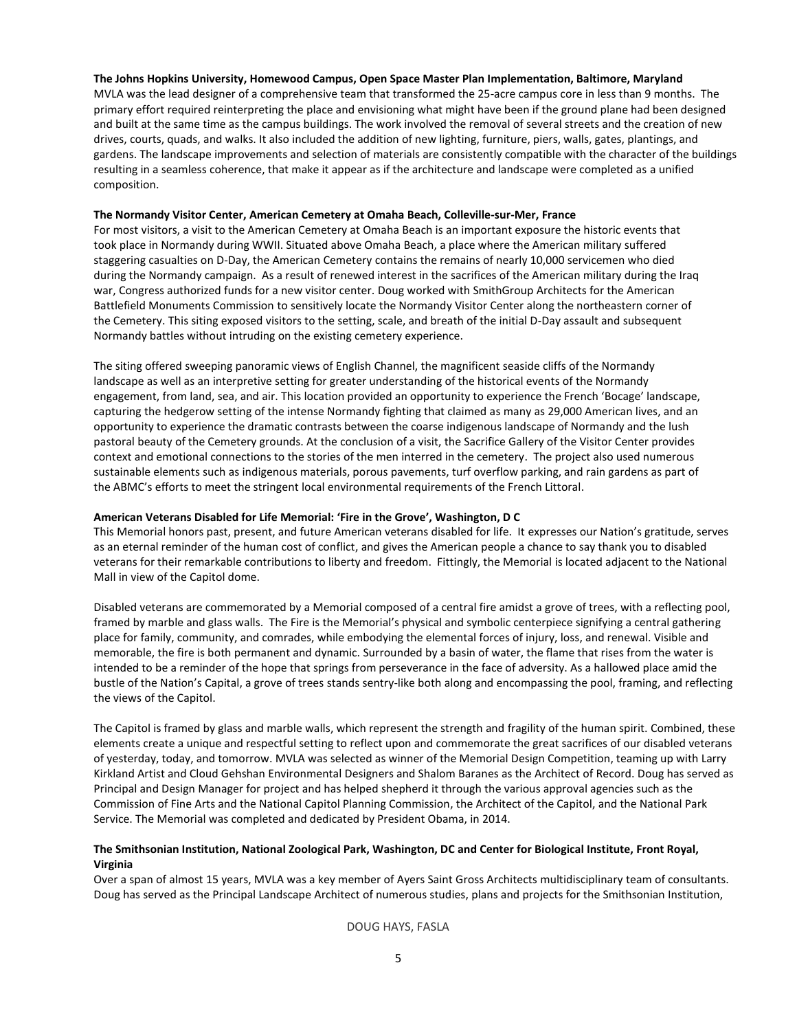# **The Johns Hopkins University, Homewood Campus, Open Space Master Plan Implementation, Baltimore, Maryland**

MVLA was the lead designer of a comprehensive team that transformed the 25-acre campus core in less than 9 months. The primary effort required reinterpreting the place and envisioning what might have been if the ground plane had been designed and built at the same time as the campus buildings. The work involved the removal of several streets and the creation of new drives, courts, quads, and walks. It also included the addition of new lighting, furniture, piers, walls, gates, plantings, and gardens. The landscape improvements and selection of materials are consistently compatible with the character of the buildings resulting in a seamless coherence, that make it appear as if the architecture and landscape were completed as a unified composition.

#### **The Normandy Visitor Center, American Cemetery at Omaha Beach, Colleville-sur-Mer, France**

For most visitors, a visit to the American Cemetery at Omaha Beach is an important exposure the historic events that took place in Normandy during WWII. Situated above Omaha Beach, a place where the American military suffered staggering casualties on D-Day, the American Cemetery contains the remains of nearly 10,000 servicemen who died during the Normandy campaign. As a result of renewed interest in the sacrifices of the American military during the Iraq war, Congress authorized funds for a new visitor center. Doug worked with SmithGroup Architects for the American Battlefield Monuments Commission to sensitively locate the Normandy Visitor Center along the northeastern corner of the Cemetery. This siting exposed visitors to the setting, scale, and breath of the initial D-Day assault and subsequent Normandy battles without intruding on the existing cemetery experience.

The siting offered sweeping panoramic views of English Channel, the magnificent seaside cliffs of the Normandy landscape as well as an interpretive setting for greater understanding of the historical events of the Normandy engagement, from land, sea, and air. This location provided an opportunity to experience the French 'Bocage' landscape, capturing the hedgerow setting of the intense Normandy fighting that claimed as many as 29,000 American lives, and an opportunity to experience the dramatic contrasts between the coarse indigenous landscape of Normandy and the lush pastoral beauty of the Cemetery grounds. At the conclusion of a visit, the Sacrifice Gallery of the Visitor Center provides context and emotional connections to the stories of the men interred in the cemetery. The project also used numerous sustainable elements such as indigenous materials, porous pavements, turf overflow parking, and rain gardens as part of the ABMC's efforts to meet the stringent local environmental requirements of the French Littoral.

#### **American Veterans Disabled for Life Memorial: 'Fire in the Grove', Washington, D C**

This Memorial honors past, present, and future American veterans disabled for life. It expresses our Nation's gratitude, serves as an eternal reminder of the human cost of conflict, and gives the American people a chance to say thank you to disabled veterans for their remarkable contributions to liberty and freedom. Fittingly, the Memorial is located adjacent to the National Mall in view of the Capitol dome.

Disabled veterans are commemorated by a Memorial composed of a central fire amidst a grove of trees, with a reflecting pool, framed by marble and glass walls. The Fire is the Memorial's physical and symbolic centerpiece signifying a central gathering place for family, community, and comrades, while embodying the elemental forces of injury, loss, and renewal. Visible and memorable, the fire is both permanent and dynamic. Surrounded by a basin of water, the flame that rises from the water is intended to be a reminder of the hope that springs from perseverance in the face of adversity. As a hallowed place amid the bustle of the Nation's Capital, a grove of trees stands sentry-like both along and encompassing the pool, framing, and reflecting the views of the Capitol.

The Capitol is framed by glass and marble walls, which represent the strength and fragility of the human spirit. Combined, these elements create a unique and respectful setting to reflect upon and commemorate the great sacrifices of our disabled veterans of yesterday, today, and tomorrow. MVLA was selected as winner of the Memorial Design Competition, teaming up with Larry Kirkland Artist and Cloud Gehshan Environmental Designers and Shalom Baranes as the Architect of Record. Doug has served as Principal and Design Manager for project and has helped shepherd it through the various approval agencies such as the Commission of Fine Arts and the National Capitol Planning Commission, the Architect of the Capitol, and the National Park Service. The Memorial was completed and dedicated by President Obama, in 2014.

# **The Smithsonian Institution, National Zoological Park, Washington, DC and Center for Biological Institute, Front Royal, Virginia**

Over a span of almost 15 years, MVLA was a key member of Ayers Saint Gross Architects multidisciplinary team of consultants. Doug has served as the Principal Landscape Architect of numerous studies, plans and projects for the Smithsonian Institution,